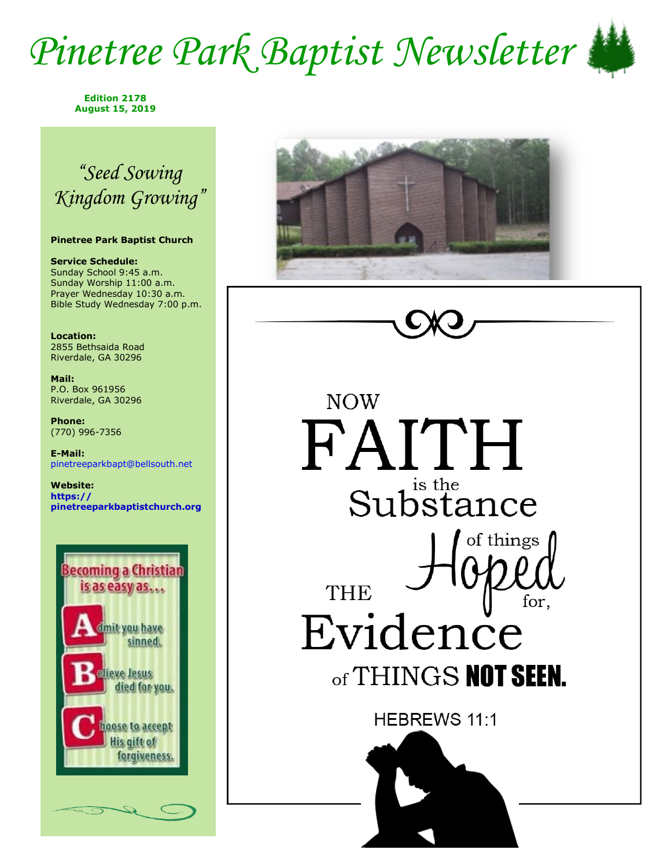## *Pinetree Park Baptist Newsletter*



**Edition 2178 August 15, 2019**

## *"Seed Sowing Kingdom Growing"*

#### **Pinetree Park Baptist Church**

**Service Schedule:** Sunday School 9:45 a.m. Sunday Worship 11:00 a.m. Prayer Wednesday 10:30 a.m. Bible Study Wednesday 7:00 p.m.

**Location:**  2855 Bethsaida Road Riverdale, GA 30296

**Mail:** P.O. Box 961956 Riverdale, GA 30296

**Phone:** (770) 996-7356

**E-Mail:** pinetreeparkbapt@bellsouth.net

**Website: https:// pinetreeparkbaptistchurch.org** 





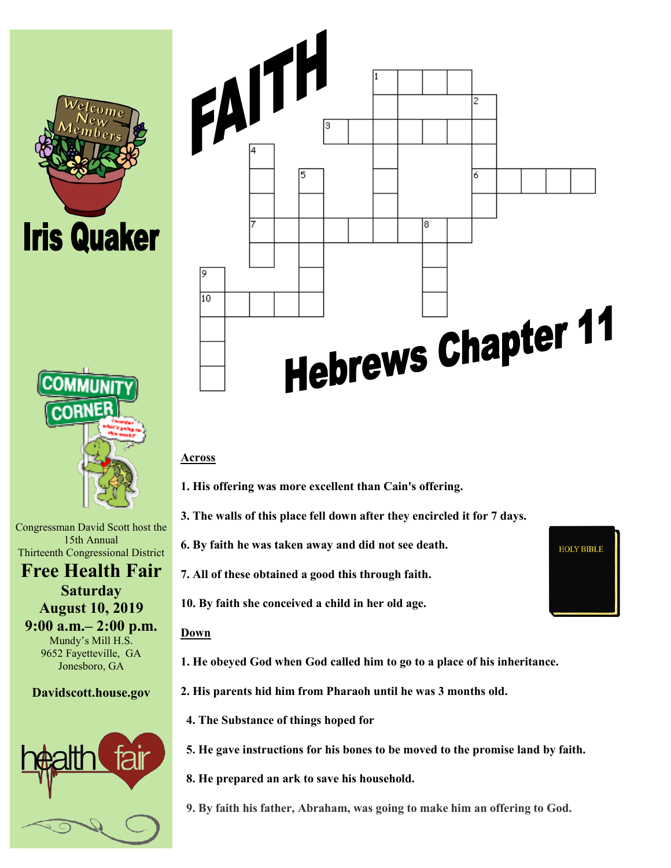



Congressman David Scott host the 15th Annual Thirteenth Congressional District

**Free Health Fair Saturday August 10, 2019 9:00 a.m.– 2:00 p.m.** Mundy's Mill H.S. 9652 Fayetteville, GA Jonesboro, GA

**Davidscott.house.gov**





#### **Across**

- **1. His offering was more excellent than Cain's offering.**
- **3. The walls of this place fell down after they encircled it for 7 days.**
- **6. By faith he was taken away and did not see death.**
- **7. All of these obtained a good this through faith.**
- **10. By faith she conceived a child in her old age.**

#### **Down**

- **1. He obeyed God when God called him to go to a place of his inheritance.**
- **2. His parents hid him from Pharaoh until he was 3 months old.**
	- **4. The Substance of things hoped for**
	- **5. He gave instructions for his bones to be moved to the promise land by faith.**
	- **8. He prepared an ark to save his household.**
	- **9. By faith his father, Abraham, was going to make him an offering to God.**

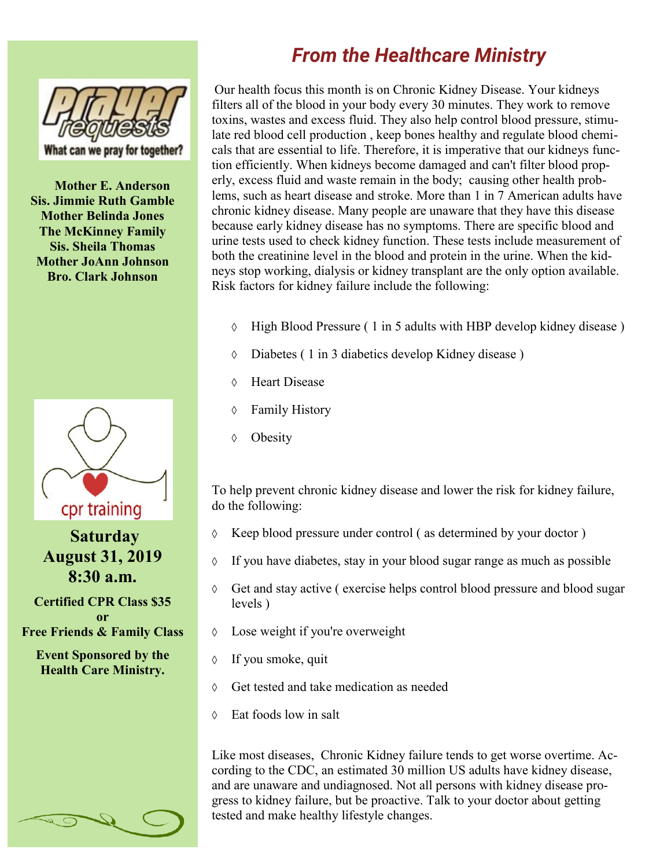

**Mother E. Anderson Sis. Jimmie Ruth Gamble Mother Belinda Jones The McKinney Family Sis. Sheila Thomas Mother JoAnn Johnson Bro. Clark Johnson**



**Saturday August 31, 2019 8:30 a.m.**

**Certified CPR Class \$35 or Free Friends & Family Class**

**Event Sponsored by the Health Care Ministry.**

### *From the Healthcare Ministry*

Our health focus this month is on Chronic Kidney Disease. Your kidneys filters all of the blood in your body every 30 minutes. They work to remove toxins, wastes and excess fluid. They also help control blood pressure, stimulate red blood cell production , keep bones healthy and regulate blood chemicals that are essential to life. Therefore, it is imperative that our kidneys function efficiently. When kidneys become damaged and can't filter blood properly, excess fluid and waste remain in the body; causing other health problems, such as heart disease and stroke. More than 1 in 7 American adults have chronic kidney disease. Many people are unaware that they have this disease because early kidney disease has no symptoms. There are specific blood and urine tests used to check kidney function. These tests include measurement of both the creatinine level in the blood and protein in the urine. When the kidneys stop working, dialysis or kidney transplant are the only option available. Risk factors for kidney failure include the following:

- High Blood Pressure ( 1 in 5 adults with HBP develop kidney disease )  $\Diamond$
- $\Diamond$ Diabetes ( 1 in 3 diabetics develop Kidney disease )
- Heart Disease  $\Diamond$
- Family History  $\Diamond$
- **Obesity**  $\Diamond$

To help prevent chronic kidney disease and lower the risk for kidney failure, do the following:

- Keep blood pressure under control ( as determined by your doctor )  $\Diamond$
- $\Diamond$ If you have diabetes, stay in your blood sugar range as much as possible
- $\Diamond$ Get and stay active ( exercise helps control blood pressure and blood sugar levels )
- $\Diamond$ Lose weight if you're overweight
- $\Diamond$ If you smoke, quit
- Get tested and take medication as needed  $\Diamond$
- Eat foods low in salt  $\Diamond$

Like most diseases, Chronic Kidney failure tends to get worse overtime. According to the CDC, an estimated 30 million US adults have kidney disease, and are unaware and undiagnosed. Not all persons with kidney disease progress to kidney failure, but be proactive. Talk to your doctor about getting tested and make healthy lifestyle changes.